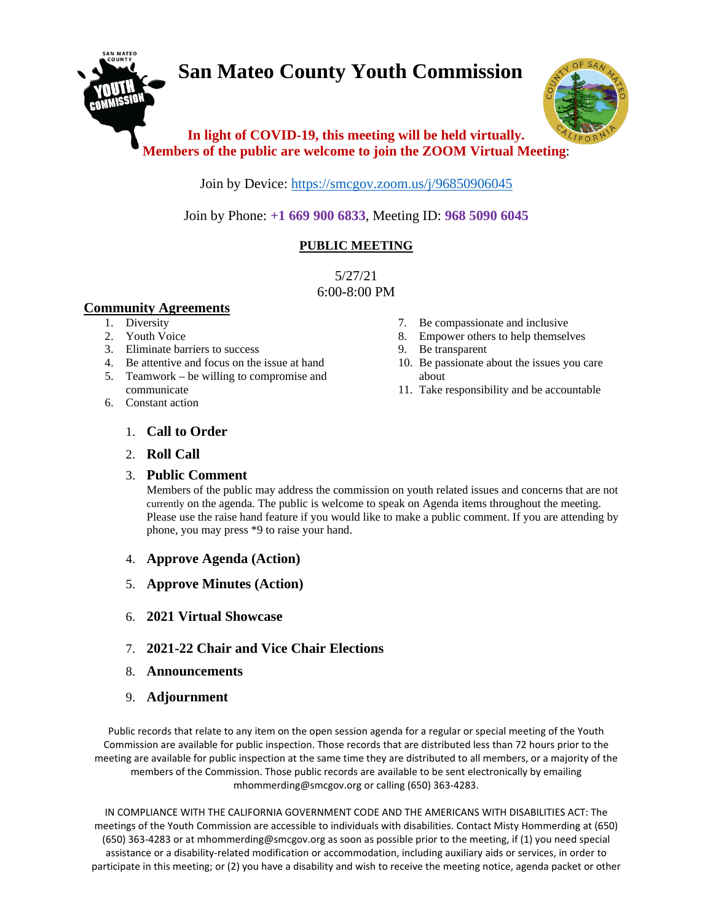# **San Mateo County Youth Commission**



## **In light of COVID-19, this meeting will be held virtually. Members of the public are welcome to join the ZOOM Virtual Meeting**:

Join by Device:<https://smcgov.zoom.us/j/96850906045>

Join by Phone: **+1 669 900 6833**, Meeting ID: **968 5090 6045**

## **PUBLIC MEETING**

5/27/21 6:00-8:00 PM

### **Community Agreements**

- 1. Diversity
- 2. Youth Voice
- 3. Eliminate barriers to success
- 4. Be attentive and focus on the issue at hand
- 5. Teamwork be willing to compromise and communicate
- 6. Constant action
- 7. Be compassionate and inclusive
- 8. Empower others to help themselves
- 9. Be transparent
- 10. Be passionate about the issues you care about
- 11. Take responsibility and be accountable

- 1. **Call to Order**
- 2. **Roll Call**

#### 3. **Public Comment**

Members of the public may address the commission on youth related issues and concerns that are not currently on the agenda. The public is welcome to speak on Agenda items throughout the meeting. Please use the raise hand feature if you would like to make a public comment. If you are attending by phone, you may press \*9 to raise your hand.

- 4. **Approve Agenda (Action)**
- 5. **Approve Minutes (Action)**
- 6. **2021 Virtual Showcase**
- 7. **2021-22 Chair and Vice Chair Elections**
- 8. **Announcements**
- 9. **Adjournment**

Public records that relate to any item on the open session agenda for a regular or special meeting of the Youth Commission are available for public inspection. Those records that are distributed less than 72 hours prior to the meeting are available for public inspection at the same time they are distributed to all members, or a majority of the members of the Commission. Those public records are available to be sent electronically by emailing mhommerding@smcgov.org or calling (650) 363-4283.

IN COMPLIANCE WITH THE CALIFORNIA GOVERNMENT CODE AND THE AMERICANS WITH DISABILITIES ACT: The meetings of the Youth Commission are accessible to individuals with disabilities. Contact Misty Hommerding at (650) (650) 363-4283 or at mhommerding@smcgov.org as soon as possible prior to the meeting, if (1) you need special assistance or a disability-related modification or accommodation, including auxiliary aids or services, in order to participate in this meeting; or (2) you have a disability and wish to receive the meeting notice, agenda packet or other